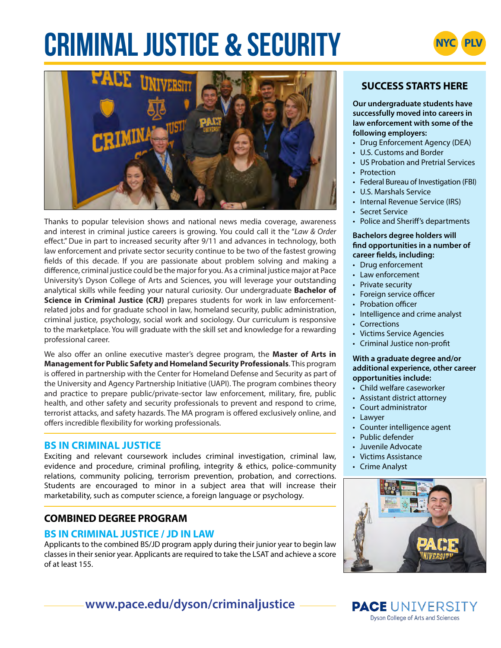# **PLAYIMUAL JUSTICE & SECURITY**





Thanks to popular television shows and national news media coverage, awareness and interest in criminal justice careers is growing. You could call it the "*Law & Order* effect." Due in part to increased security after 9/11 and advances in technology, both law enforcement and private sector security continue to be two of the fastest growing fields of this decade. If you are passionate about problem solving and making a difference, criminal justice could be the major for you. As a criminal justice major at Pace University's Dyson College of Arts and Sciences, you will leverage your outstanding analytical skills while feeding your natural curiosity. Our undergraduate **Bachelor of Science in Criminal Justice (CRJ)** prepares students for work in law enforcementrelated jobs and for graduate school in law, homeland security, public administration, criminal justice, psychology, social work and sociology. Our curriculum is responsive to the marketplace. You will graduate with the skill set and knowledge for a rewarding professional career.

We also offer an online executive master's degree program, the **Master of Arts in Management for Public Safety and Homeland Security Professionals**. This program is offered in partnership with the Center for Homeland Defense and Security as part of the University and Agency Partnership Initiative (UAPI). The program combines theory and practice to prepare public/private-sector law enforcement, military, fire, public health, and other safety and security professionals to prevent and respond to crime, terrorist attacks, and safety hazards. The MA program is offered exclusively online, and offers incredible flexibility for working professionals.

## **BS IN CRIMINAL JUSTICE**

Exciting and relevant coursework includes criminal investigation, criminal law, evidence and procedure, criminal profiling, integrity & ethics, police-community relations, community policing, terrorism prevention, probation, and corrections. Students are encouraged to minor in a subject area that will increase their marketability, such as computer science, a foreign language or psychology.

## **COMBINED DEGREE PROGRAM**

## **BS IN CRIMINAL JUSTICE / JD IN LAW**

Applicants to the combined BS/JD program apply during their junior year to begin law classes in their senior year. Applicants are required to take the LSAT and achieve a score of at least 155.

## **SUCCESS STARTS HERE**

**Our undergraduate students have successfully moved into careers in law enforcement with some of the following employers:**

- Drug Enforcement Agency (DEA)
- U.S. Customs and Border
- US Probation and Pretrial Services
- Protection
- Federal Bureau of Investigation (FBI)
- U.S. Marshals Service
- Internal Revenue Service (IRS)
- Secret Service
- Police and Sheriff's departments

#### **Bachelors degree holders will find opportunities in a number of career fields, including:**

- Drug enforcement
- Law enforcement
- Private security
- Foreign service officer
- Probation officer
- Intelligence and crime analyst
- Corrections
- Victims Service Agencies
- Criminal Justice non-profit

#### **With a graduate degree and/or additional experience, other career opportunities include:**

- Child welfare caseworker
- Assistant district attorney
- Court administrator
- Lawyer
- Counter intelligence agent
- Public defender
- Juvenile Advocate
- Victims Assistance
- Crime Analyst



## **www.pace.edu/dyson/criminaljustice**